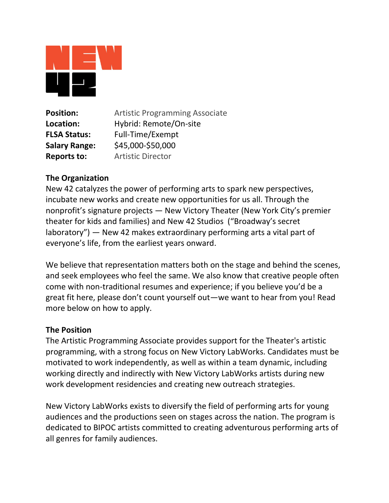

**Position: Artistic Programming Associate Location:** Hybrid: Remote/On-site **FLSA Status:** Full-Time/Exempt **Salary Range:** \$45,000-\$50,000 **Reports to:** Artistic Director

## **The Organization**

New 42 catalyzes the power of performing arts to spark new perspectives, incubate new works and create new opportunities for us all. Through the nonprofit's signature projects — New Victory Theater (New York City's premier theater for kids and families) and New 42 Studios ("Broadway's secret laboratory") — New 42 makes extraordinary performing arts a vital part of everyone's life, from the earliest years onward.

We believe that representation matters both on the stage and behind the scenes, and seek employees who feel the same. We also know that creative people often come with non-traditional resumes and experience; if you believe you'd be a great fit here, please don't count yourself out—we want to hear from you! Read more below on how to apply.

## **The Position**

The Artistic Programming Associate provides support for the Theater's artistic programming, with a strong focus on New Victory LabWorks. Candidates must be motivated to work independently, as well as within a team dynamic, including working directly and indirectly with New Victory LabWorks artists during new work development residencies and creating new outreach strategies.

New Victory LabWorks exists to diversify the field of performing arts for young audiences and the productions seen on stages across the nation. The program is dedicated to BIPOC artists committed to creating adventurous performing arts of all genres for family audiences.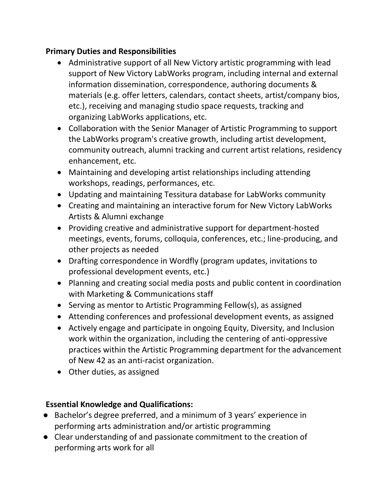## **Primary Duties and Responsibilities**

- Administrative support of all New Victory artistic programming with lead support of New Victory LabWorks program, including internal and external information dissemination, correspondence, authoring documents & materials (e.g. offer letters, calendars, contact sheets, artist/company bios, etc.), receiving and managing studio space requests, tracking and organizing LabWorks applications, etc.
- Collaboration with the Senior Manager of Artistic Programming to support the LabWorks program's creative growth, including artist development, community outreach, alumni tracking and current artist relations, residency enhancement, etc.
- Maintaining and developing artist relationships including attending workshops, readings, performances, etc.
- Updating and maintaining Tessitura database for LabWorks community
- Creating and maintaining an interactive forum for New Victory LabWorks Artists & Alumni exchange
- Providing creative and administrative support for department-hosted meetings, events, forums, colloquia, conferences, etc.; line-producing, and other projects as needed
- Drafting correspondence in Wordfly (program updates, invitations to professional development events, etc.)
- Planning and creating social media posts and public content in coordination with Marketing & Communications staff
- Serving as mentor to Artistic Programming Fellow(s), as assigned
- Attending conferences and professional development events, as assigned
- Actively engage and participate in ongoing Equity, Diversity, and Inclusion work within the organization, including the centering of anti-oppressive practices within the Artistic Programming department for the advancement of New 42 as an anti-racist organization.
- Other duties, as assigned

# **Essential Knowledge and Qualifications:**

- Bachelor's degree preferred, and a minimum of 3 years' experience in performing arts administration and/or artistic programming
- Clear understanding of and passionate commitment to the creation of performing arts work for all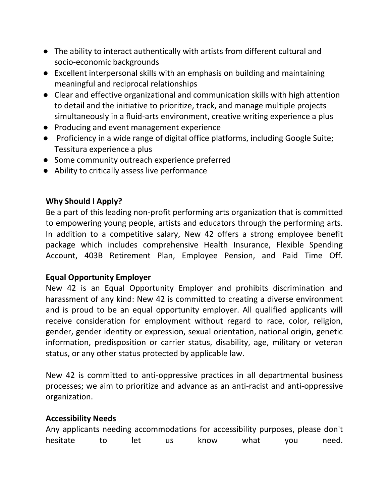- The ability to interact authentically with artists from different cultural and socio-economic backgrounds
- Excellent interpersonal skills with an emphasis on building and maintaining meaningful and reciprocal relationships
- Clear and effective organizational and communication skills with high attention to detail and the initiative to prioritize, track, and manage multiple projects simultaneously in a fluid-arts environment, creative writing experience a plus
- Producing and event management experience
- Proficiency in a wide range of digital office platforms, including Google Suite; Tessitura experience a plus
- Some community outreach experience preferred
- Ability to critically assess live performance

## **Why Should I Apply?**

Be a part of this leading non-profit performing arts organization that is committed to empowering young people, artists and educators through the performing arts. In addition to a competitive salary, New 42 offers a strong employee benefit package which includes comprehensive Health Insurance, Flexible Spending Account, 403B Retirement Plan, Employee Pension, and Paid Time Off.

## **Equal Opportunity Employer**

New 42 is an Equal Opportunity Employer and prohibits discrimination and harassment of any kind: New 42 is committed to creating a diverse environment and is proud to be an equal opportunity employer. All qualified applicants will receive consideration for employment without regard to race, color, religion, gender, gender identity or expression, sexual orientation, national origin, genetic information, predisposition or carrier status, disability, age, military or veteran status, or any other status protected by applicable law.

New 42 is committed to anti-oppressive practices in all departmental business processes; we aim to prioritize and advance as an anti-racist and anti-oppressive organization.

## **Accessibility Needs**

| Any applicants needing accommodations for accessibility purposes, please don't |     |     |      |      |     |       |
|--------------------------------------------------------------------------------|-----|-----|------|------|-----|-------|
| hesitate                                                                       | let | US. | know | what | vou | need. |